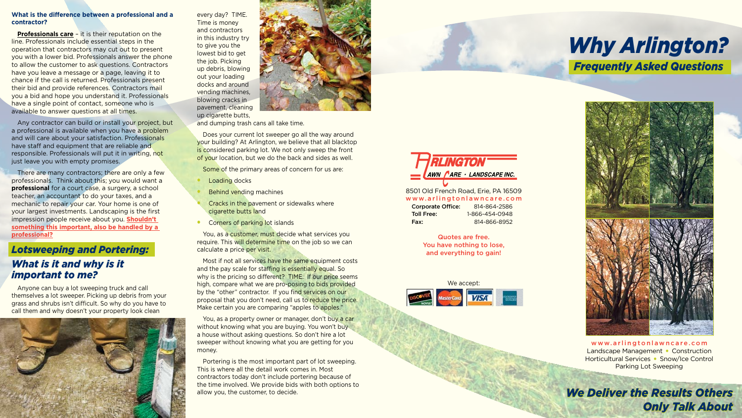

Quotes are free. You have nothing to lose, and everything to gain!

every day? TIME. Time is money and contractors in this industry try to give you the lowest bid to get the job. Picking up debris, blowing out your loading docks and around vending machines, blowing cracks in pavement, cleaning up cigarette butts,

- Loading docks
- **Behind vending machines**
- Cracks in the pavement or sidewalks where cigarette butts land
- Corners of parking lot islands

and dumping trash cans all take time.

Most if not all services have the same equipment costs and the pay scale for staffing is essentially equal. So why is the pricing so different? TIME. If our price seems high, compare what we are pro-posing to bids provided by the "other" contractor. If you find services on our proposal that you don't need, call us to reduce the price. Make certain you are comparing "apples to apples."

Does your current lot sweeper go all the way around your building? At Arlington, we believe that all blacktop is considered parking lot. We not only sweep the front of your location, but we do the back and sides as well.

Some of the primary areas of concern for us are:

You, as a customer, must decide what services you require. This will determine time on the job so we can calculate a price per visit.

**Professionals care** – it is their reputation on the line. Professionals include essential steps in the operation that contractors may cut out to present you with a lower bid. Professionals answer the phone to allow the customer to ask questions. Contractors have you leave a message or a page, leaving it to chance if the call is returned. Professionals present their bid and provide references. Contractors mail you a bid and hope you understand it. Professionals have a single point of contact, someone who is available to answer questions at all times.

Any contractor can build or install your project, but a professional is available when you have a problem and will care about your satisfaction. Professionals have staff and equipment that are reliable and responsible. Professionals will put it in writing, not just leave you with empty promises.

> You, as a property owner or manager, don't buy a car without knowing what you are buying. You won't buy a house without asking questions. So don't hire a lot sweeper without knowing what you are getting for you money.

There are many contractors; there are only a few professionals. Think about this; you would want a **professional** for a court case, a surgery, a school teacher, an accountant to do your taxes, and a mechanic to repair your car. Your home is one of your largest investments. Landscaping is the first impression people receive about you. **Shouldn't something this important, also be handled by a professional?**

> Portering is the most important part of lot sweeping. This is where all the detail work comes in. Most contractors today don't include portering because of the time involved. We provide bids with both options to allow you, the customer, to decide.

www.arlingtonlawncare.com Landscape Management • Construction Horticultural Services • Snow/Ice Control Parking Lot Sweeping

#### **What is the difference between a professional and a contractor?**

## *Lotsweeping and Portering:*

# *What is it and why is it important to me?*

Anyone can buy a lot sweeping truck and call themselves a lot sweeper. Picking up debris from your grass and shrubs isn't difficult. So why do you have to call them and why doesn't your property look clean